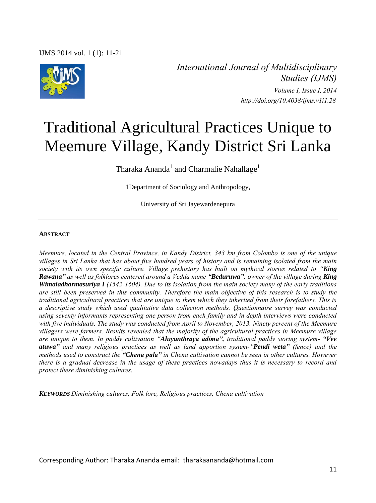

*International Journal of Multidisciplinary Studies (IJMS) Volume I, Issue I, 2014 http://doi.org/10.4038/ijms.v1i1.28* 

# Traditional Agricultural Practices Unique to Meemure Village, Kandy District Sri Lanka

Tharaka Ananda $^{\rm l}$  and Charmalie Nahallage $^{\rm l}$ 

1Department of Sociology and Anthropology,

University of Sri Jayewardenepura

#### **ABSTRACT**

*Meemure, located in the Central Province, in Kandy District, 343 km from Colombo is one of the unique villages in Sri Lanka that has about five hundred years of history and is remaining isolated from the main society with its own specific culture. Village prehistory has built on mythical stories related to "King Rawana" as well as folklores centered around a Vedda name "Beduruwa"; owner of the village during King Wimaladharmasuriya I (1542-1604). Due to its isolation from the main society many of the early traditions are still been preserved in this community. Therefore the main objective of this research is to study the traditional agricultural practices that are unique to them which they inherited from their forefathers. This is a descriptive study which used qualitative data collection methods. Questionnaire survey was conducted using seventy informants representing one person from each family and in depth interviews were conducted with five individuals. The study was conducted from April to November, 2013. Ninety percent of the Meemure villagers were farmers. Results revealed that the majority of the agricultural practices in Meemure village are unique to them. In paddy cultivation "Aluyanthraya adima", traditional paddy storing system- "Vee atuwa" and many religious practices as well as land apportion system-"Pendi weta" (fence) and the methods used to construct the "Chena pala" in Chena cultivation cannot be seen in other cultures. However there is a gradual decrease in the usage of these practices nowadays thus it is necessary to record and protect these diminishing cultures.* 

*KEYWORDS Diminishing cultures, Folk lore, Religious practices, Chena cultivation* 

Corresponding Author: Tharaka Ananda email: tharakaananda@hotmail.com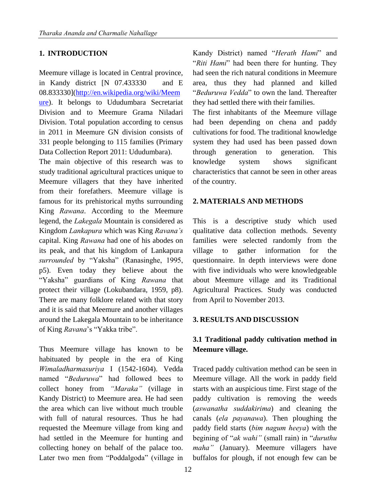#### **1. INTRODUCTION**

Meemure village is located in Central province, in Kandy district [N 07.433330 and E 08.833330][\(http://en.wikipedia.org/wiki/Meem](http://en.wikipedia.org/wiki/Meemure) [ure\)](http://en.wikipedia.org/wiki/Meemure). It belongs to Ududumbara Secretariat Division and to Meemure Grama Niladari Division. Total population according to census in 2011 in Meemure GN division consists of 331 people belonging to 115 families (Primary Data Collection Report 2011: Ududumbara).

The main objective of this research was to study traditional agricultural practices unique to Meemure villagers that they have inherited from their forefathers. Meemure village is famous for its prehistorical myths surrounding King *Rawana*. According to the Meemure legend, the *Lakegala* Mountain is considered as Kingdom *Lankapura* which was King *Ravana's* capital. King *Rawana* had one of his abodes on its peak, and that his kingdom of Lankapura *surrounded* by "Yaksha" (Ranasinghe, 1995, p5). Even today they believe about the "Yaksha" guardians of King *Rawana* that protect their village (Lokubandara, 1959, p8). There are many folklore related with that story and it is said that Meemure and another villages around the Lakegala Mountain to be inheritance of King *Ravana*"s "Yakka tribe".

Thus Meemure village has known to be habituated by people in the era of King *Wimaladharmasuriya* I (1542-1604). Vedda named "*Beduruwa*" had followed bees to collect honey from *"Maraka"* (village in Kandy District) to Meemure area. He had seen the area which can live without much trouble with full of natural resources. Thus he had requested the Meemure village from king and had settled in the Meemure for hunting and collecting honey on behalf of the palace too. Later two men from "Poddalgoda" (village in

Kandy District) named "*Herath Hami*" and "*Riti Hami*" had been there for hunting. They had seen the rich natural conditions in Meemure area, thus they had planned and killed "*Beduruwa Vedda*" to own the land. Thereafter they had settled there with their families.

The first inhabitants of the Meemure village had been depending on chena and paddy cultivations for food. The traditional knowledge system they had used has been passed down through generation to generation. This knowledge system shows significant characteristics that cannot be seen in other areas of the country.

#### **2. MATERIALS AND METHODS**

This is a descriptive study which used qualitative data collection methods. Seventy families were selected randomly from the village to gather information for the questionnaire. In depth interviews were done with five individuals who were knowledgeable about Meemure village and its Traditional Agricultural Practices. Study was conducted from April to November 2013.

#### **3. RESULTS AND DISCUSSION**

## **3.1 Traditional paddy cultivation method in Meemure village.**

Traced paddy cultivation method can be seen in Meemure village. All the work in paddy field starts with an auspicious time. First stage of the paddy cultivation is removing the weeds (*aswanatha suddakirima*) and cleaning the canals (*ela payanawa*). Then ploughing the paddy field starts (*bim nagum heeya*) with the begining of "*ak wahi"* (small rain) in "*duruthu maha"* (January). Meemure villagers have buffalos for plough, if not enough few can be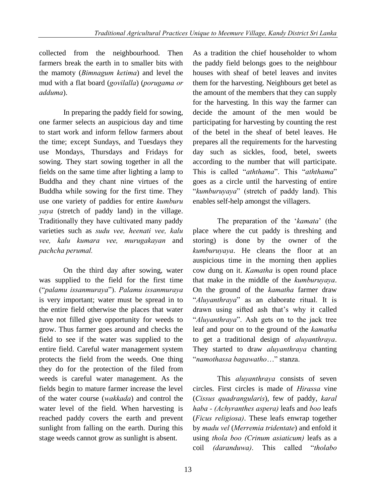collected from the neighbourhood. Then farmers break the earth in to smaller bits with the mamoty (*Bimnagum ketima*) and level the mud with a flat board (*govilalla*) (*porugama or adduma*).

In preparing the paddy field for sowing, one farmer selects an auspicious day and time to start work and inform fellow farmers about the time; except Sundays, and Tuesdays they use Mondays, Thursdays and Fridays for sowing. They start sowing together in all the fields on the same time after lighting a lamp to Buddha and they chant nine virtues of the Buddha while sowing for the first time. They use one variety of paddies for entire *kumburu yaya* (stretch of paddy land) in the village. Traditionally they have cultivated many paddy varieties such as *sudu vee, heenati vee, kalu vee, kalu kumara vee, murugakayan* and *pachcha perumal.* 

On the third day after sowing, water was supplied to the field for the first time ("*palamu issanmuraya*"). *Palamu issanmuraya* is very important; water must be spread in to the entire field otherwise the places that water have not filled give opportunity for weeds to grow. Thus farmer goes around and checks the field to see if the water was supplied to the entire field. Careful water management system protects the field from the weeds. One thing they do for the protection of the filed from weeds is careful water management. As the fields begin to mature farmer increase the level of the water course (*wakkada*) and control the water level of the field. When harvesting is reached paddy covers the earth and prevent sunlight from falling on the earth. During this stage weeds cannot grow as sunlight is absent.

As a tradition the chief householder to whom the paddy field belongs goes to the neighbour houses with sheaf of betel leaves and invites them for the harvesting. Neighbours get betel as the amount of the members that they can supply for the harvesting. In this way the farmer can decide the amount of the men would be participating for harvesting by counting the rest of the betel in the sheaf of betel leaves. He prepares all the requirements for the harvesting day such as sickles, food, betel, sweets according to the number that will participate. This is called "*aththama*". This "*aththama*" goes as a circle until the harvesting of entire "*kumburuyaya*" (stretch of paddy land). This enables self-help amongst the villagers.

The preparation of the "*kamata*" (the place where the cut paddy is threshing and storing) is done by the owner of the *kumburuyaya*. He cleans the floor at an auspicious time in the morning then applies cow dung on it. *Kamatha* is open round place that make in the middle of the *kumburuyaya*. On the ground of the *kamatha* farmer draw "*Aluyanthraya*" as an elaborate ritual. It is drawn using sifted ash that"s why it called "*Aluyanthraya*". Ash gets on to the jack tree leaf and pour on to the ground of the *kamatha* to get a traditional design of *aluyanthraya*. They started to draw *aluyanthraya* chanting "*namothassa bagawatho*…" stanza.

This *aluyanthraya* consists of seven circles. First circles is made of *Hirassa* vine (*Cissus quadrangularis*), few of paddy, *karal haba - (Achyranthes aspera)* leafs and *boo* leafs (*Ficus religiosa)*. These leafs enwrap together by *madu vel* (*Merremia tridentate*) and enfold it using *thola boo (Crinum asiaticum)* leafs as a coil *(daranduwa)*. This called "*tholabo*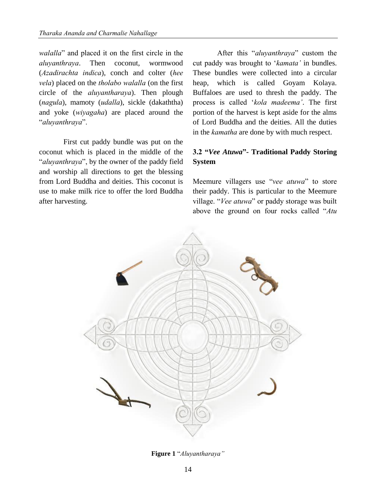*walalla*" and placed it on the first circle in the *aluyanthraya*. Then coconut, wormwood (*Azadirachta indica*), conch and colter (*hee vela*) placed on the *tholabo walalla* (on the first circle of the *aluyantharaya*). Then plough (*nagula*), mamoty (*udalla*), sickle (dakaththa) and yoke (*wiyagaha*) are placed around the "*aluyanthraya*".

First cut paddy bundle was put on the coconut which is placed in the middle of the "*aluyanthraya*", by the owner of the paddy field and worship all directions to get the blessing from Lord Buddha and deities. This coconut is use to make milk rice to offer the lord Buddha after harvesting.

After this "*aluyanthraya*" custom the cut paddy was brought to "*kamata'* in bundles. These bundles were collected into a circular heap, which is called Goyam Kolaya. Buffaloes are used to thresh the paddy. The process is called "*kola madeema'*. The first portion of the harvest is kept aside for the alms of Lord Buddha and the deities. All the duties in the *kamatha* are done by with much respect.

## **3.2 "***Vee Atuwa***"- Traditional Paddy Storing System**

Meemure villagers use "*vee atuwa*" to store their paddy. This is particular to the Meemure village. "*Vee atuwa*" or paddy storage was built above the ground on four rocks called "*Atu* 



**Figure 1** "*Aluyantharaya"*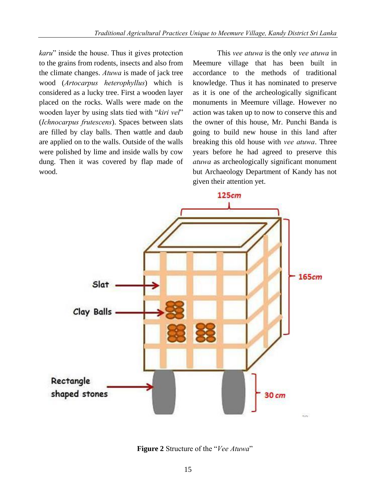*karu*" inside the house. Thus it gives protection to the grains from rodents, insects and also from the climate changes. *Atuwa* is made of jack tree wood (*Artocarpus heterophyllus*) which is considered as a lucky tree. First a wooden layer placed on the rocks. Walls were made on the wooden layer by using slats tied with "*kiri vel*" (*Ichnocarpus frutescens*). Spaces between slats are filled by clay balls. Then wattle and daub are applied on to the walls. Outside of the walls were polished by lime and inside walls by cow dung. Then it was covered by flap made of wood.

This *vee atuwa* is the only *vee atuwa* in Meemure village that has been built in accordance to the methods of traditional knowledge. Thus it has nominated to preserve as it is one of the archeologically significant monuments in Meemure village. However no action was taken up to now to conserve this and the owner of this house, Mr. Punchi Banda is going to build new house in this land after breaking this old house with *vee atuwa*. Three years before he had agreed to preserve this *atuwa* as archeologically significant monument but Archaeology Department of Kandy has not given their attention yet.



**Figure 2** Structure of the "*Vee Atuwa*"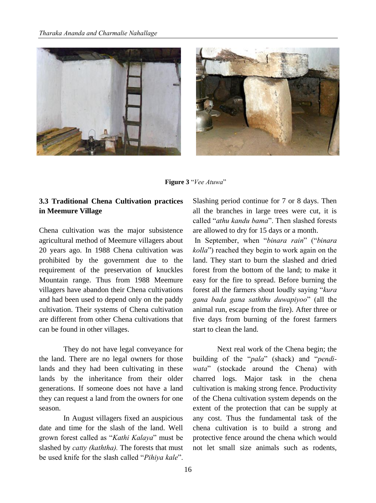



**Figure 3** "*Vee Atuwa*"

#### **3.3 Traditional Chena Cultivation practices in Meemure Village**

Chena cultivation was the major subsistence agricultural method of Meemure villagers about 20 years ago. In 1988 Chena cultivation was prohibited by the government due to the requirement of the preservation of knuckles Mountain range. Thus from 1988 Meemure villagers have abandon their Chena cultivations and had been used to depend only on the paddy cultivation. Their systems of Chena cultivation are different from other Chena cultivations that can be found in other villages.

They do not have legal conveyance for the land. There are no legal owners for those lands and they had been cultivating in these lands by the inheritance from their older generations. If someone does not have a land they can request a land from the owners for one season.

In August villagers fixed an auspicious date and time for the slash of the land. Well grown forest called as "*Kathi Kalaya*" must be slashed by *catty (kaththa).* The forests that must be used knife for the slash called "*Pihiya kale*". Slashing period continue for 7 or 8 days. Then all the branches in large trees were cut, it is called "*athu kandu bama*". Then slashed forests are allowed to dry for 15 days or a month.

In September, when "*binara rain*" ("*binara kolla*") reached they begin to work again on the land. They start to burn the slashed and dried forest from the bottom of the land; to make it easy for the fire to spread. Before burning the forest all the farmers shout loudly saying "*kura gana bada gana saththu duwapiyoo*" (all the animal run, escape from the fire). After three or five days from burning of the forest farmers start to clean the land.

Next real work of the Chena begin; the building of the "*pala*" (shack) and "*pendiwata*" (stockade around the Chena) with charred logs. Major task in the chena cultivation is making strong fence. Productivity of the Chena cultivation system depends on the extent of the protection that can be supply at any cost. Thus the fundamental task of the chena cultivation is to build a strong and protective fence around the chena which would not let small size animals such as rodents,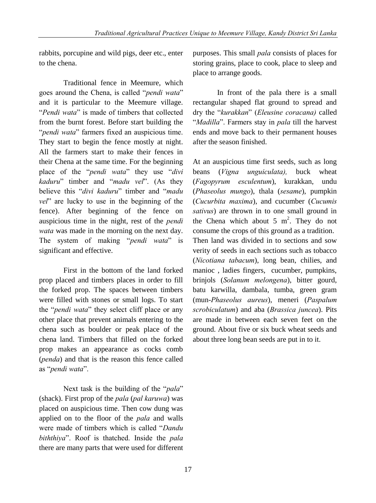rabbits, porcupine and wild pigs, deer etc., enter to the chena.

Traditional fence in Meemure, which goes around the Chena, is called "*pendi wata*" and it is particular to the Meemure village. "*Pendi wata*" is made of timbers that collected from the burnt forest. Before start building the "*pendi wata*" farmers fixed an auspicious time. They start to begin the fence mostly at night. All the farmers start to make their fences in their Chena at the same time. For the beginning place of the "*pendi wata*" they use "*divi kaduru*" timber and "*madu vel*". (As they believe this "*divi kaduru*" timber and "*madu vel*" are lucky to use in the beginning of the fence). After beginning of the fence on auspicious time in the night, rest of the *pendi wata* was made in the morning on the next day. The system of making "*pendi wata*" is significant and effective.

First in the bottom of the land forked prop placed and timbers places in order to fill the forked prop. The spaces between timbers were filled with stones or small logs. To start the "*pendi wata*" they select cliff place or any other place that prevent animals entering to the chena such as boulder or peak place of the chena land. Timbers that filled on the forked prop makes an appearance as cocks comb (*penda*) and that is the reason this fence called as "*pendi wata*".

Next task is the building of the "*pala*" (shack). First prop of the *pala* (*pal karuwa*) was placed on auspicious time. Then cow dung was applied on to the floor of the *pala* and walls were made of timbers which is called "*Dandu biththiya*". Roof is thatched. Inside the *pala* there are many parts that were used for different purposes. This small *pala* consists of places for storing grains, place to cook, place to sleep and place to arrange goods.

In front of the pala there is a small rectangular shaped flat ground to spread and dry the "*kurakkan*" (*Eleusine coracana)* called "*Madilla*". Farmers stay in *pala* till the harvest ends and move back to their permanent houses after the season finished.

At an auspicious time first seeds, such as long beans (*Vigna unguiculata),* buck wheat (*Fagopyrum esculentum*), kurakkan, undu (*Phaseolus mungo*), thala (*sesame*), pumpkin (*Cucurbita maxima*), and cucumber (*Cucumis sativus*) are thrown in to one small ground in the Chena which about  $5 \text{ m}^2$ . They do not consume the crops of this ground as a tradition. Then land was divided in to sections and sow verity of seeds in each sections such as tobacco (*Nicotiana tabacum*), long bean, chilies, and manioc , ladies fingers, cucumber, pumpkins, brinjols (*Solanum melongena*), bitter gourd, batu karwilla, dambala, tumba, green gram (mun-*Phaseolus aureus*), meneri (*Paspalum scrobiculatum*) and aba (*Brassica juncea*). Pits are made in between each seven feet on the ground. About five or six buck wheat seeds and about three long bean seeds are put in to it.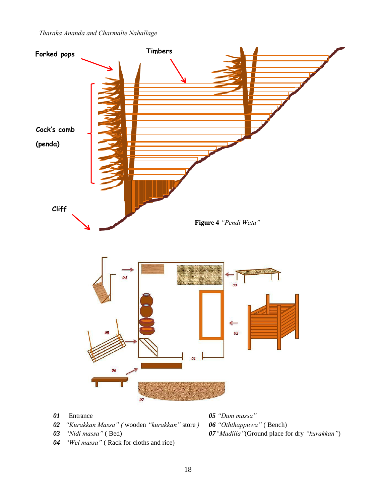

- 
- *04 "Wel massa"* ( Rack for cloths and rice)

*03 "Nidi massa"* ( Bed) *07"Madilla"*(Ground place for dry *"kurakkan"*)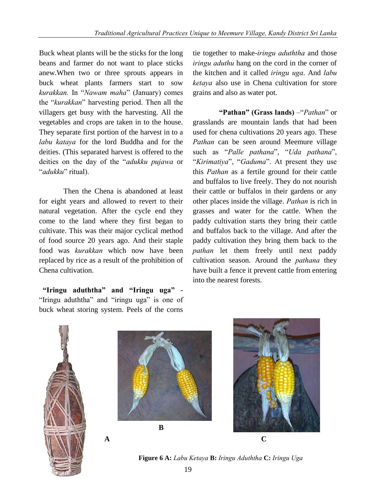Buck wheat plants will be the sticks for the long beans and farmer do not want to place sticks anew.When two or three sprouts appears in buck wheat plants farmers start to sow *kurakkan.* In "*Nawam maha*" (January) comes the "*kurakkan*" harvesting period. Then all the villagers get busy with the harvesting. All the vegetables and crops are taken in to the house. They separate first portion of the harvest in to a *labu kataya* for the lord Buddha and for the deities. (This separated harvest is offered to the deities on the day of the "*adukku pujawa* or "*adukku*" ritual).

Then the Chena is abandoned at least for eight years and allowed to revert to their natural vegetation. After the cycle end they come to the land where they first began to cultivate. This was their major cyclical method of food source 20 years ago. And their staple food was *kurakkan* which now have been replaced by rice as a result of the prohibition of Chena cultivation.

 **"Iringu aduththa" and "Iringu uga" -**  "Iringu aduththa" and "iringu uga" is one of buck wheat storing system. Peels of the corns

tie together to make-*iringu aduththa* and those *iringu aduthu* hang on the cord in the corner of the kitchen and it called *iringu uga*. And *labu ketaya* also use in Chena cultivation for store grains and also as water pot.

**"Pathan" (Grass lands)** –"*Pathan*" or grasslands are mountain lands that had been used for chena cultivations 20 years ago. These *Pathan* can be seen around Meemure village such as "*Palle pathana*", "*Uda pathana*", "*Kirimatiya*", "*Gaduma*". At present they use this *Pathan* as a fertile ground for their cattle and buffalos to live freely. They do not nourish their cattle or buffalos in their gardens or any other places inside the village. *Pathan* is rich in grasses and water for the cattle. When the paddy cultivation starts they bring their cattle and buffalos back to the village. And after the paddy cultivation they bring them back to the *pathan* let them freely until next paddy cultivation season. Around the *pathana* they have built a fence it prevent cattle from entering into the nearest forests.







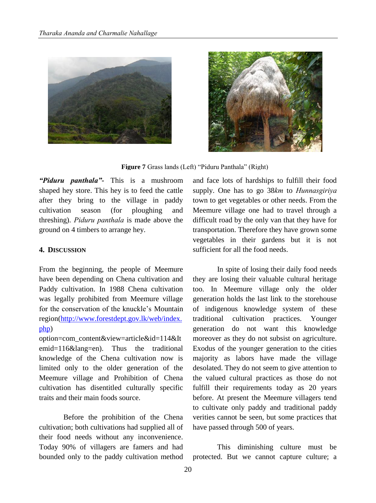



**Figure 7** Grass lands (Left) "Piduru Panthala" (Right)

*"Piduru panthala"-* This is a mushroom shaped hey store. This hey is to feed the cattle after they bring to the village in paddy cultivation season (for ploughing and threshing). *Piduru panthala* is made above the ground on 4 timbers to arrange hey.

#### **4. DISCUSSION**

From the beginning, the people of Meemure have been depending on Chena cultivation and Paddy cultivation. In 1988 Chena cultivation was legally prohibited from Meemure village for the conservation of the knuckle"s Mountain region[\(http://www.forestdept.gov.lk/web/index.](http://www.forestdept.gov.lk/web/index.php) [php\)](http://www.forestdept.gov.lk/web/index.php)

option=com\_content&view=article&id=114&It emid=116&lang=en). Thus the traditional knowledge of the Chena cultivation now is limited only to the older generation of the Meemure village and Prohibition of Chena cultivation has disentitled culturally specific traits and their main foods source.

Before the prohibition of the Chena cultivation; both cultivations had supplied all of their food needs without any inconvenience. Today 90% of villagers are famers and had bounded only to the paddy cultivation method and face lots of hardships to fulfill their food supply. One has to go 38*km* to *Hunnasgiriya* town to get vegetables or other needs. From the Meemure village one had to travel through a difficult road by the only van that they have for transportation. Therefore they have grown some vegetables in their gardens but it is not sufficient for all the food needs.

In spite of losing their daily food needs they are losing their valuable cultural heritage too. In Meemure village only the older generation holds the last link to the storehouse of indigenous knowledge system of these traditional cultivation practices. Younger generation do not want this knowledge moreover as they do not subsist on agriculture. Exodus of the younger generation to the cities majority as labors have made the village desolated. They do not seem to give attention to the valued cultural practices as those do not fulfill their requirements today as 20 years before. At present the Meemure villagers tend to cultivate only paddy and traditional paddy verities cannot be seen, but some practices that have passed through 500 of years.

This diminishing culture must be protected. But we cannot capture culture; a